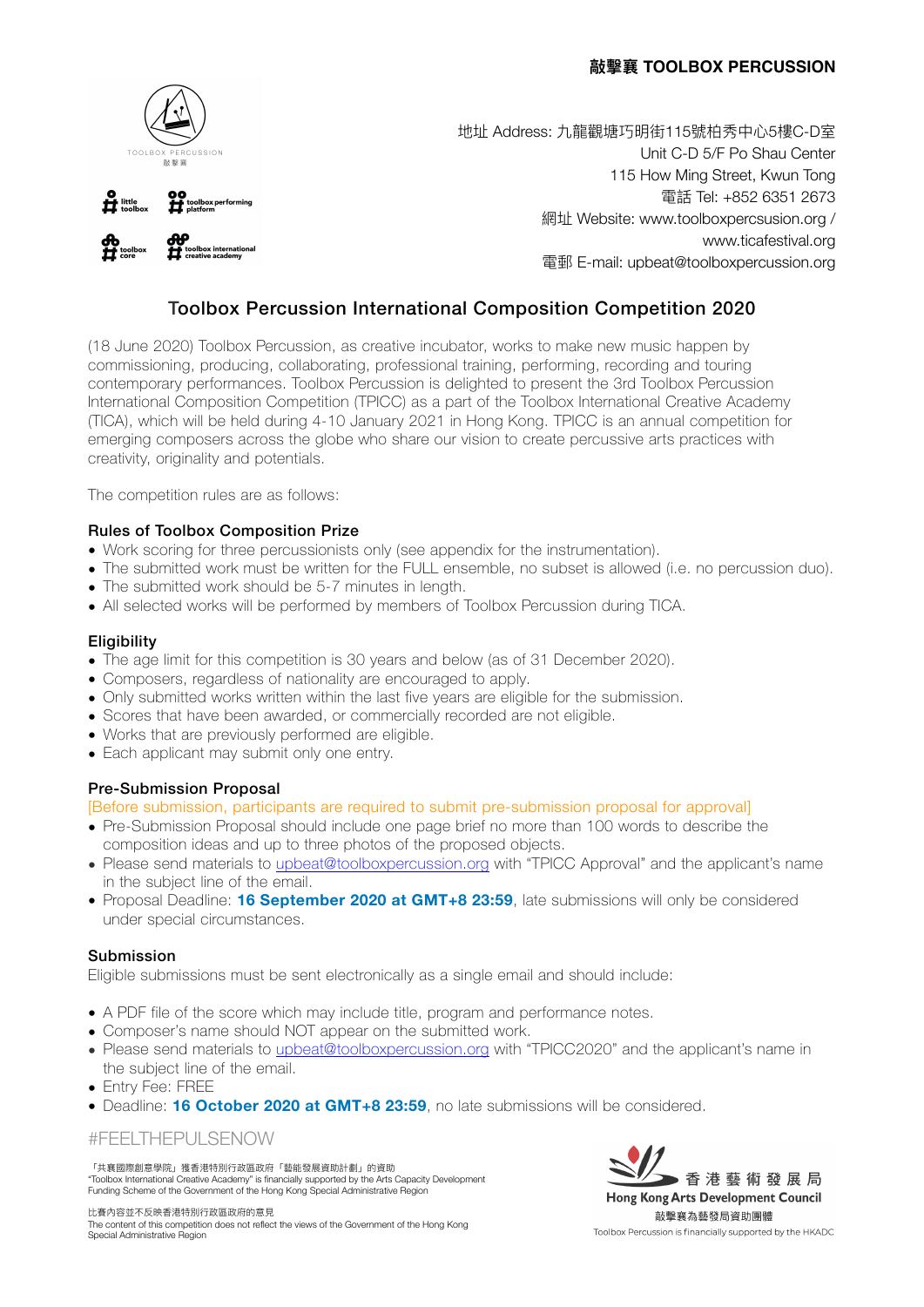



地址 Address: 九龍觀塘巧明街115號柏秀中心5樓C-D室 Unit C-D 5/F Po Shau Center 115 How Ming Street, Kwun Tong 電話 Tel: +852 6351 2673 網址 Website: [www.toolboxpercsusion.org](http://www.toolboxpercsusion.org) / [www.ticafestival.org](http://www.ticafestival.org/)  電郵 E-mail: [upbeat@toolboxpercussion.org](mailto:upbeat@toolboxpercussion.org)

# Toolbox Percussion International Composition Competition 2020

(18 June 2020) Toolbox Percussion, as creative incubator, works to make new music happen by commissioning, producing, collaborating, professional training, performing, recording and touring contemporary performances. Toolbox Percussion is delighted to present the 3rd Toolbox Percussion International Composition Competition (TPICC) as a part of the Toolbox International Creative Academy (TICA), which will be held during 4-10 January 2021 in Hong Kong. TPICC is an annual competition for emerging composers across the globe who share our vision to create percussive arts practices with creativity, originality and potentials.

The competition rules are as follows:

# Rules of Toolbox Composition Prize

- Work scoring for three percussionists only (see appendix for the instrumentation).
- The submitted work must be written for the FULL ensemble, no subset is allowed (i.e. no percussion duo).
- The submitted work should be 5-7 minutes in length.
- All selected works will be performed by members of Toolbox Percussion during TICA.

### **Eligibility**

- The age limit for this competition is 30 years and below (as of 31 December 2020).
- Composers, regardless of nationality are encouraged to apply.
- Only submitted works written within the last five years are eligible for the submission.
- Scores that have been awarded, or commercially recorded are not eligible.
- Works that are previously performed are eligible.
- Each applicant may submit only one entry.

### Pre-Submission Proposal

[Before submission, participants are required to submit pre-submission proposal for approval]

- Pre-Submission Proposal should include one page brief no more than 100 words to describe the composition ideas and up to three photos of the proposed objects.
- Please send materials to [upbeat@toolboxpercussion.org](mailto:upbeat@toolboxpercussion.org) with "TPICC Approval" and the applicant's name in the subject line of the email.
- Proposal Deadline: **16 September 2020 at GMT+8 23:59**, late submissions will only be considered under special circumstances.

### Submission

Eligible submissions must be sent electronically as a single email and should include:

- A PDF file of the score which may include title, program and performance notes.
- Composer's name should NOT appear on the submitted work.
- Please send materials to [upbeat@toolboxpercussion.org](mailto:upbeat@toolboxpercussion.org) with "TPICC2020" and the applicant's name in the subject line of the email.
- Entry Fee: FREE
- Deadline: **16 October 2020 at GMT+8 23:59**, no late submissions will be considered.

### #FEELTHEPULSENOW

「共襄國際創意學院」獲香港特別行政區政府「藝能發展資助計劃」的資助 "Toolbox International Creative Academy" is financially supported by the Arts Capacity Development Funding Scheme of the Government of the Hong Kong Special Administrative Region

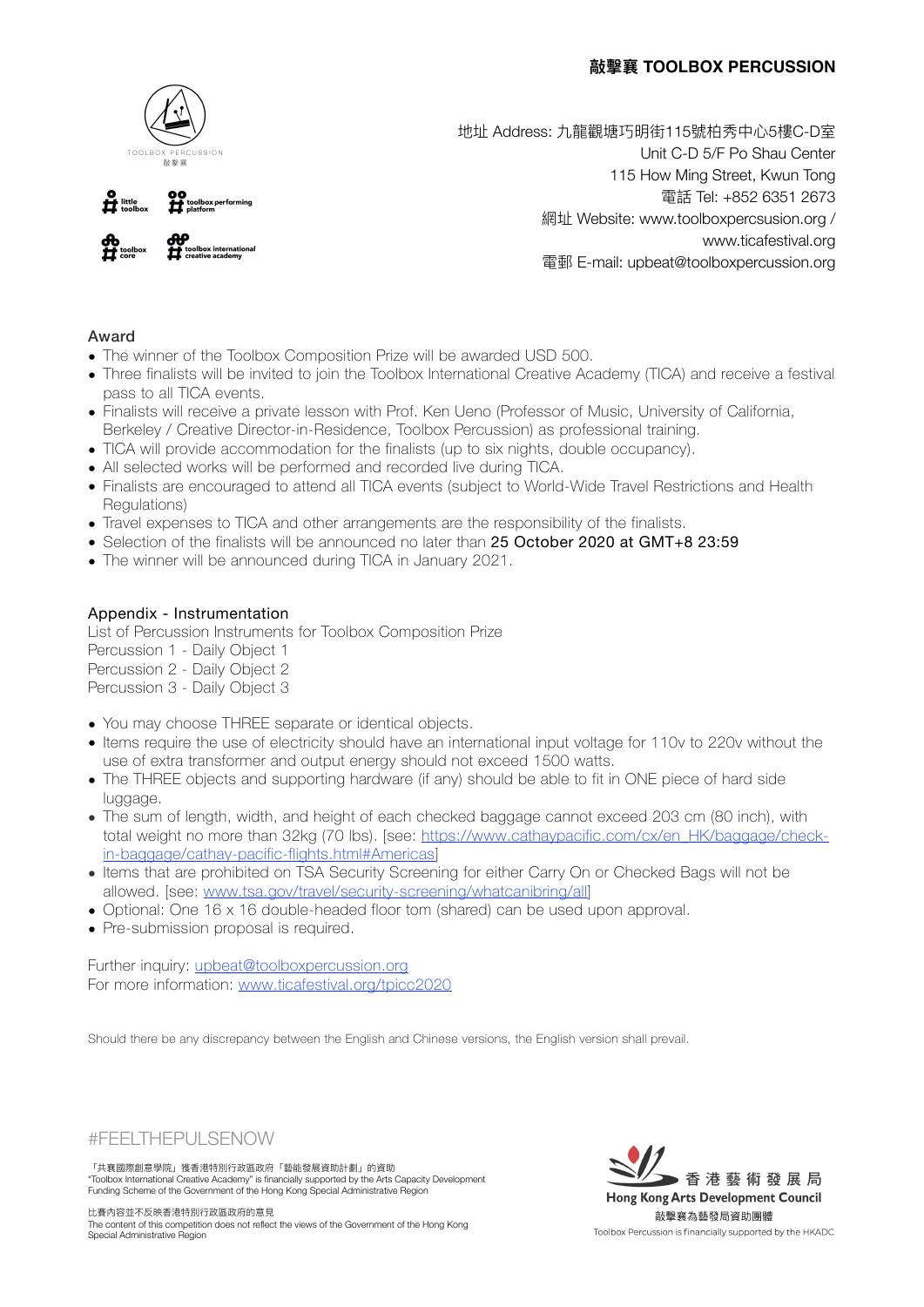

地址 Address: 九龍觀塘巧明街115號柏秀中心5樓C-D室 Unit C-D 5/F Po Shau Center 115 How Ming Street, Kwun Tong 電話 Tel: +852 6351 2673 網址 Website: [www.toolboxpercsusion.org](http://www.toolboxpercsusion.org) / [www.ticafestival.org](http://www.ticafestival.org/)  電郵 E-mail: [upbeat@toolboxpercussion.org](mailto:upbeat@toolboxpercussion.org)

# Award

- The winner of the Toolbox Composition Prize will be awarded USD 500.
- Three finalists will be invited to join the Toolbox International Creative Academy (TICA) and receive a festival pass to all TICA events.
- Finalists will receive a private lesson with Prof. Ken Ueno (Professor of Music, University of California, Berkeley / Creative Director-in-Residence, Toolbox Percussion) as professional training.
- TICA will provide accommodation for the finalists (up to six nights, double occupancy).
- All selected works will be performed and recorded live during TICA.
- Finalists are encouraged to attend all TICA events (subject to World-Wide Travel Restrictions and Health Regulations)
- Travel expenses to TICA and other arrangements are the responsibility of the finalists.
- Selection of the finalists will be announced no later than 25 October 2020 at GMT+8 23:59
- The winner will be announced during TICA in January 2021.

### Appendix - Instrumentation

List of Percussion Instruments for Toolbox Composition Prize Percussion 1 - Daily Object 1 Percussion 2 - Daily Object 2 Percussion 3 - Daily Object 3

- You may choose THREE separate or identical objects.
- Items require the use of electricity should have an international input voltage for 110v to 220v without the use of extra transformer and output energy should not exceed 1500 watts.
- The THREE objects and supporting hardware (if any) should be able to fit in ONE piece of hard side luggage.
- The sum of length, width, and height of each checked baggage cannot exceed 203 cm (80 inch), with total weight no more than 32kg (70 lbs). [see: [https://www.cathaypacific.com/cx/en\\_HK/baggage/check](https://www.cathaypacific.com/cx/en_HK/baggage/check-in-baggage/cathay-pacific-flights.html#Americas)[in-baggage/cathay-pacific-flights.html#Americas](https://www.cathaypacific.com/cx/en_HK/baggage/check-in-baggage/cathay-pacific-flights.html#Americas)]
- Items that are prohibited on TSA Security Screening for either Carry On or Checked Bags will not be allowed. [see: [www.tsa.gov/travel/security-screening/whatcanibring/all\]](https://www.tsa.gov/travel/security-screening/whatcanibring/all)
- Optional: One 16 x 16 double-headed floor tom (shared) can be used upon approval.
- Pre-submission proposal is required.

Further inquiry: [upbeat@toolboxpercussion.org](mailto:upbeat@toolboxpercussion.org) For more information: [www.ticafestival.org/tpicc2020](http://www.ticafestival.org/tpicc2020)

Should there be any discrepancy between the English and Chinese versions, the English version shall prevail.



「共襄國際創意學院」獲香港特別行政區政府「藝能發展資助計劃」的資助 "Toolbox International Creative Academy" is financially supported by the Arts Capacity Development Funding Scheme of the Government of the Hong Kong Special Administrative Region

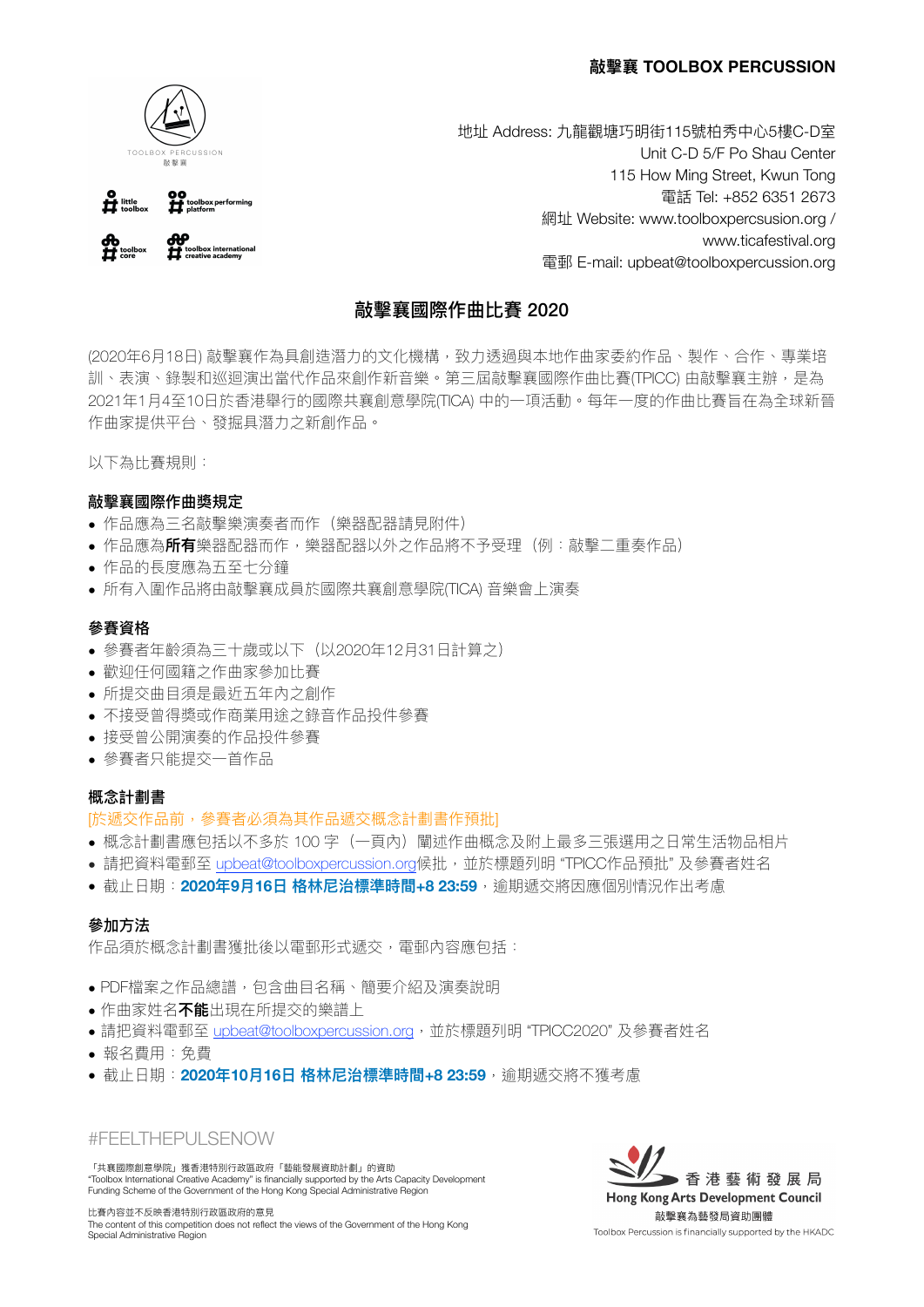

00<br> **H** toolbox performing  $\mathbf{H}$  little **COP**<br><sup>toolbox</sup> international 地址 Address: 九龍觀塘巧明街115號柏秀中心5樓C-D室 Unit C-D 5/F Po Shau Center 115 How Ming Street, Kwun Tong 電話 Tel: +852 6351 2673 網址 Website: [www.toolboxpercsusion.org](http://www.toolboxpercsusion.org) / [www.ticafestival.org](http://www.ticafestival.org/)  電郵 E-mail: [upbeat@toolboxpercussion.org](mailto:upbeat@toolboxpercussion.org)

# 敲擊襄國際作曲比賽 2020

(2020年6月18日) 敲擊襄作為具創造潛力的文化機構,致力透過與本地作曲家委約作品、製作、合作、專業培 訓、表演、錄製和巡迴演出當代作品來創作新音樂。第三屆敲擊襄國際作曲比賽(TPICC) 由敲擊襄主辦,是為 2021年1月4至10日於香港舉行的國際共襄創意學院(TICA) 中的一項活動。每年一度的作曲比賽旨在為全球新晉 作曲家提供平台、發掘具潛力之新創作品。

以下為比賽規則:

### 敲擊襄國際作曲獎規定

- 作品應為三名敲擊樂演奏者而作(樂器配器請見附件)
- 作品應為**所有**樂器配器而作,樂器配器以外之作品將不予受理(例:敲擊二重奏作品)
- 作品的長度應為五至七分鐘
- 所有入圍作品將由敲擊襄成員於國際共襄創意學院(TICA) 音樂會上演奏

#### 參賽資格

- 參賽者年齡須為三十歳或以下(以2020年12月31日計算之)
- 歡迎任何國籍之作曲家參加比賽
- 所提交曲目須是最近五年內之創作
- 不接受曾得獎或作商業用途之錄音作品投件參賽
- 接受曾公開演奏的作品投件參賽
- 參賽者只能提交一首作品

#### 概念計劃書

#### [於遞交作品前,參賽者必須為其作品遞交概念計劃書作預批]

- 概念計劃書應包括以不多於 100 字(一頁內)闡述作曲概念及附上最多三張選用之日常生活物品相片
- 請把資料電郵至 [upbeat@toolboxpercussion.org](mailto:upbeat@toolboxpercussion.org)候批,並於標題列明 "TPICC作品預批" 及參賽者姓名
- 截止日期:2020年9月16日 格林尼治標準時間+8 23:59,逾期遞交將因應個別情況作出考慮

#### 參加方法

作品須於概念計劃書獲批後以電郵形式遞交,電郵內容應包括:

- PDF檔案之作品總譜, 包含曲目名稱、簡要介紹及演奏說明
- 作曲家姓名**不能**出現在所提交的樂譜上
- ●請把資料電郵至 [upbeat@toolboxpercussion.org](mailto:upbeat@toolboxpercussion.org),並於標題列明"TPICC2020"及參賽者姓名
- 報名費⽤:免費
- 截止日期:2020年10月16日 格林尼治標準時間+8 23:59,逾期遞交將不獲考慮

#FEELTHEPULSENOW

「共襄國際創意學院」獲香港特別行政區政府「藝能發展資助計劃」的資助 "Toolbox International Creative Academy" is financially supported by the Arts Capacity Development Funding Scheme of the Government of the Hong Kong Special Administrative Region